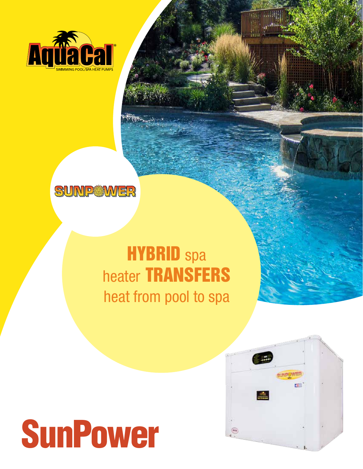



## **HYBRID** spa heater TRANSFERS heat from pool to spa

## SunPower



Way and